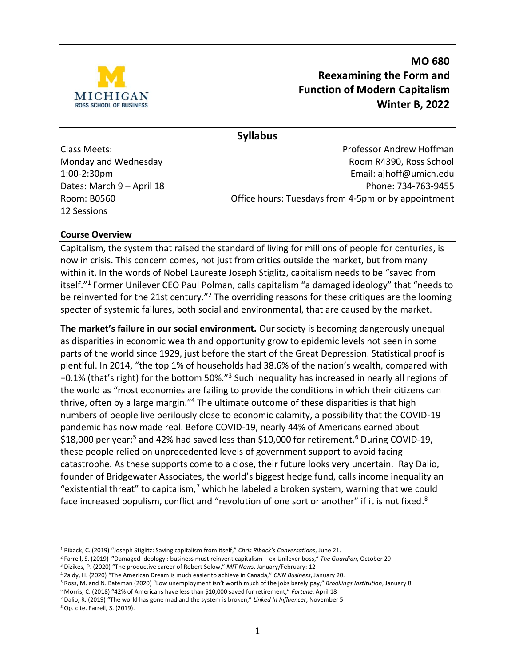

**MO 680 Reexamining the Form and Function of Modern Capitalism Winter B, 2022**

**Syllabus**

12 Sessions

Class Meets: Professor Andrew Hoffman Monday and Wednesday **Room R4390**, Ross School 1:00-2:30pm Email: [ajhoff@umich.edu](mailto:ajhoff@umich.edu) Dates: March 9 – April 18 Phone: 734-763-9455 Room: B0560 **Case 10 Contract Contract Contract Contract Contract Contract Contract Contract Contract Contract Contract Contract Contract Contract Contract Contract Contract Contract Contract Contract Contract Contract Con** 

#### **Course Overview**

Capitalism, the system that raised the standard of living for millions of people for centuries, is now in crisis. This concern comes, not just from critics outside the market, but from many within it. In the words of Nobel Laureate Joseph Stiglitz, capitalism needs to be "saved from itself."<sup>1</sup> Former Unilever CEO Paul Polman, calls capitalism "a damaged ideology" that "needs to be reinvented for the 21st century."<sup>2</sup> The overriding reasons for these critiques are the looming specter of systemic failures, both social and environmental, that are caused by the market.

**The market's failure in our social environment.** Our society is becoming dangerously unequal as disparities in economic wealth and opportunity grow to epidemic levels not seen in some parts of the world since 1929, just before the start of the Great Depression. Statistical proof is plentiful. In 2014, "the top 1% of households had 38.6% of the nation's wealth, compared with −0.1% (that's right) for the bottom 50%."<sup>3</sup> Such inequality has increased in nearly all regions of the world as "most economies are failing to provide the conditions in which their citizens can thrive, often by a large margin."<sup>4</sup> The ultimate outcome of these disparities is that high numbers of people live perilously close to economic calamity, a possibility that the COVID-19 pandemic has now made real. Before COVID-19, nearly 44% of Americans earned about \$18,000 per year;<sup>5</sup> and 42% had saved less than \$10,000 for retirement.<sup>6</sup> During COVID-19, these people relied on unprecedented levels of government support to avoid facing catastrophe. As these supports come to a close, their future looks very uncertain. Ray Dalio, founder of Bridgewater Associates, the world's biggest hedge fund, calls income inequality an "existential threat" to capitalism, $7$  which he labeled a broken system, warning that we could face increased populism, conflict and "revolution of one sort or another" if it is not fixed.<sup>8</sup>

<sup>8</sup> Op. cite. Farrell, S. (2019).

<sup>1</sup> Riback, C. (2019) "Joseph Stiglitz: Saving capitalism from itself," *Chris Riback's Conversations*, June 21.

<sup>2</sup> Farrell, S. (2019) "'Damaged ideology': business must reinvent capitalism – ex-Unilever boss," *The Guardian*, October 29

<sup>3</sup> Dizikes, P. (2020) "The productive career of Robert Solow," *MIT News*, January/February: 12

<sup>4</sup> Zaidy, H. (2020) "The American Dream is much easier to achieve in Canada," *CNN Business*, January 20.

<sup>5</sup> Ross, M. and N. Bateman (2020) "Low unemployment isn't worth much of the jobs barely pay," *Brookings Institution*, January 8.

<sup>6</sup> Morris, C. (2018) "42% of Americans have less than \$10,000 saved for retirement," *Fortune*, April 18

<sup>7</sup> Dalio, R. (2019) "The world has gone mad and the system is broken," *Linked In Influencer*, November 5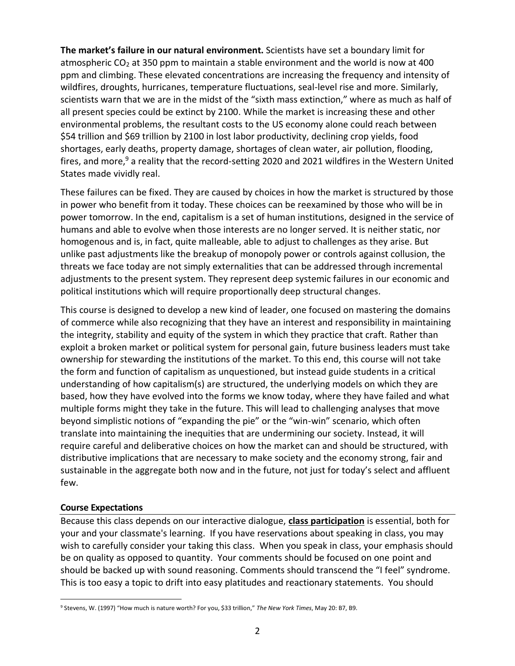**The market's failure in our natural environment.** Scientists have set a boundary limit for atmospheric CO<sub>2</sub> at 350 ppm to maintain a stable environment and the world is now at 400 ppm and climbing. These elevated concentrations are increasing the frequency and intensity of wildfires, droughts, hurricanes, temperature fluctuations, seal-level rise and more. Similarly, scientists warn that we are in the midst of the "sixth mass extinction," where as much as half of all present species could be extinct by 2100. While the market is increasing these and other environmental problems, the resultant costs to the US economy alone could reach between \$54 trillion and \$69 trillion by 2100 in lost labor productivity, declining crop yields, food shortages, early deaths, property damage, shortages of clean water, air pollution, flooding, fires, and more, $9$  a reality that the record-setting 2020 and 2021 wildfires in the Western United States made vividly real.

These failures can be fixed. They are caused by choices in how the market is structured by those in power who benefit from it today. These choices can be reexamined by those who will be in power tomorrow. In the end, capitalism is a set of human institutions, designed in the service of humans and able to evolve when those interests are no longer served. It is neither static, nor homogenous and is, in fact, quite malleable, able to adjust to challenges as they arise. But unlike past adjustments like the breakup of monopoly power or controls against collusion, the threats we face today are not simply externalities that can be addressed through incremental adjustments to the present system. They represent deep systemic failures in our economic and political institutions which will require proportionally deep structural changes.

This course is designed to develop a new kind of leader, one focused on mastering the domains of commerce while also recognizing that they have an interest and responsibility in maintaining the integrity, stability and equity of the system in which they practice that craft. Rather than exploit a broken market or political system for personal gain, future business leaders must take ownership for stewarding the institutions of the market. To this end, this course will not take the form and function of capitalism as unquestioned, but instead guide students in a critical understanding of how capitalism(s) are structured, the underlying models on which they are based, how they have evolved into the forms we know today, where they have failed and what multiple forms might they take in the future. This will lead to challenging analyses that move beyond simplistic notions of "expanding the pie" or the "win-win" scenario, which often translate into maintaining the inequities that are undermining our society. Instead, it will require careful and deliberative choices on how the market can and should be structured, with distributive implications that are necessary to make society and the economy strong, fair and sustainable in the aggregate both now and in the future, not just for today's select and affluent few.

#### **Course Expectations**

Because this class depends on our interactive dialogue, **class participation** is essential, both for your and your classmate's learning. If you have reservations about speaking in class, you may wish to carefully consider your taking this class. When you speak in class, your emphasis should be on quality as opposed to quantity. Your comments should be focused on one point and should be backed up with sound reasoning. Comments should transcend the "I feel" syndrome. This is too easy a topic to drift into easy platitudes and reactionary statements. You should

<sup>9</sup> Stevens, W. (1997) "How much is nature worth? For you, \$33 trillion," *The New York Times*, May 20: B7, B9.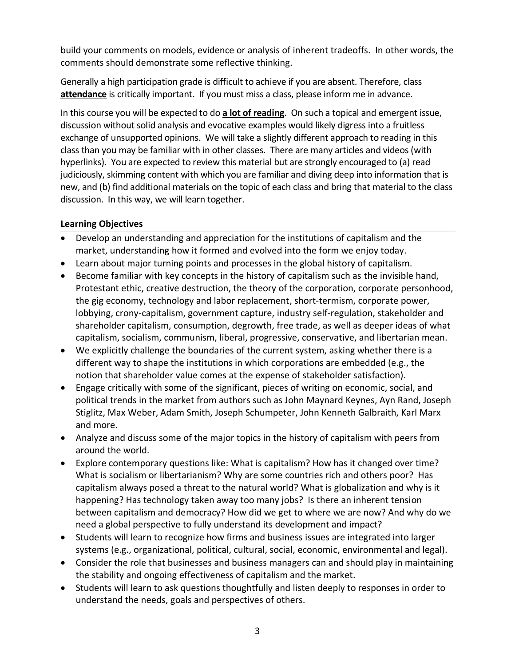build your comments on models, evidence or analysis of inherent tradeoffs. In other words, the comments should demonstrate some reflective thinking.

Generally a high participation grade is difficult to achieve if you are absent. Therefore, class **attendance** is critically important. If you must miss a class, please inform me in advance.

In this course you will be expected to do **a lot of reading**. On such a topical and emergent issue, discussion without solid analysis and evocative examples would likely digress into a fruitless exchange of unsupported opinions. We will take a slightly different approach to reading in this class than you may be familiar with in other classes. There are many articles and videos (with [hyperlinks\)](http://en.wikipedia.org/wiki/Hyperlink). You are expected to review this material but are strongly encouraged to (a) read judiciously, skimming content with which you are familiar and diving deep into information that is new, and (b) find additional materials on the topic of each class and bring that material to the class discussion. In this way, we will learn together.

#### **Learning Objectives**

- Develop an understanding and appreciation for the institutions of capitalism and the market, understanding how it formed and evolved into the form we enjoy today.
- Learn about major turning points and processes in the global history of capitalism.
- Become familiar with key concepts in the history of capitalism such as the invisible hand, Protestant ethic, creative destruction, the theory of the corporation, corporate personhood, the gig economy, technology and labor replacement, short-termism, corporate power, lobbying, crony-capitalism, government capture, industry self-regulation, stakeholder and shareholder capitalism, consumption, degrowth, free trade, as well as deeper ideas of what capitalism, socialism, communism, liberal, progressive, conservative, and libertarian mean.
- We explicitly challenge the boundaries of the current system, asking whether there is a different way to shape the institutions in which corporations are embedded (e.g., the notion that shareholder value comes at the expense of stakeholder satisfaction).
- Engage critically with some of the significant, pieces of writing on economic, social, and political trends in the market from authors such as John Maynard Keynes, Ayn Rand, Joseph Stiglitz, Max Weber, Adam Smith, Joseph Schumpeter, John Kenneth Galbraith, Karl Marx and more.
- Analyze and discuss some of the major topics in the history of capitalism with peers from around the world.
- Explore contemporary questions like: What is capitalism? How has it changed over time? What is socialism or libertarianism? Why are some countries rich and others poor? Has capitalism always posed a threat to the natural world? What is globalization and why is it happening? Has technology taken away too many jobs? Is there an inherent tension between capitalism and democracy? How did we get to where we are now? And why do we need a global perspective to fully understand its development and impact?
- Students will learn to recognize how firms and business issues are integrated into larger systems (e.g., organizational, political, cultural, social, economic, environmental and legal).
- Consider the role that businesses and business managers can and should play in maintaining the stability and ongoing effectiveness of capitalism and the market.
- Students will learn to ask questions thoughtfully and listen deeply to responses in order to understand the needs, goals and perspectives of others.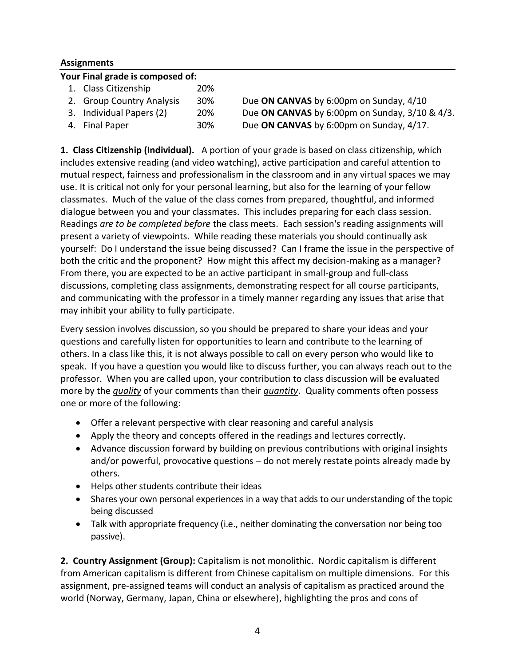#### **Assignments**

#### **Your Final grade is composed of:**

| 1. Class Citizenship      | 20%        |                                                     |
|---------------------------|------------|-----------------------------------------------------|
| 2. Group Country Analysis | <b>30%</b> | Due ON CANVAS by 6:00pm on Sunday, 4/10             |
| 3. Individual Papers (2)  | <b>20%</b> | Due ON CANVAS by 6:00pm on Sunday, $3/10$ & $4/3$ . |
| 4. Final Paper            | 30%        | Due ON CANVAS by 6:00pm on Sunday, 4/17.            |

**1. Class Citizenship (Individual).** A portion of your grade is based on class citizenship, which includes extensive reading (and video watching), active participation and careful attention to mutual respect, fairness and professionalism in the classroom and in any virtual spaces we may use. It is critical not only for your personal learning, but also for the learning of your fellow classmates. Much of the value of the class comes from prepared, thoughtful, and informed dialogue between you and your classmates. This includes preparing for each class session. Readings *are to be completed before* the class meets. Each session's reading assignments will present a variety of viewpoints. While reading these materials you should continually ask yourself: Do I understand the issue being discussed? Can I frame the issue in the perspective of both the critic and the proponent? How might this affect my decision-making as a manager? From there, you are expected to be an active participant in small-group and full-class discussions, completing class assignments, demonstrating respect for all course participants, and communicating with the professor in a timely manner regarding any issues that arise that may inhibit your ability to fully participate.

Every session involves discussion, so you should be prepared to share your ideas and your questions and carefully listen for opportunities to learn and contribute to the learning of others. In a class like this, it is not always possible to call on every person who would like to speak. If you have a question you would like to discuss further, you can always reach out to the professor. When you are called upon, your contribution to class discussion will be evaluated more by the *quality* of your comments than their *quantity*. Quality comments often possess one or more of the following:

- Offer a relevant perspective with clear reasoning and careful analysis
- Apply the theory and concepts offered in the readings and lectures correctly.
- Advance discussion forward by building on previous contributions with original insights and/or powerful, provocative questions – do not merely restate points already made by others.
- Helps other students contribute their ideas
- Shares your own personal experiences in a way that adds to our understanding of the topic being discussed
- Talk with appropriate frequency (i.e., neither dominating the conversation nor being too passive).

**2. Country Assignment (Group):** Capitalism is not monolithic. Nordic capitalism is different from American capitalism is different from Chinese capitalism on multiple dimensions. For this assignment, pre-assigned teams will conduct an analysis of capitalism as practiced around the world (Norway, Germany, Japan, China or elsewhere), highlighting the pros and cons of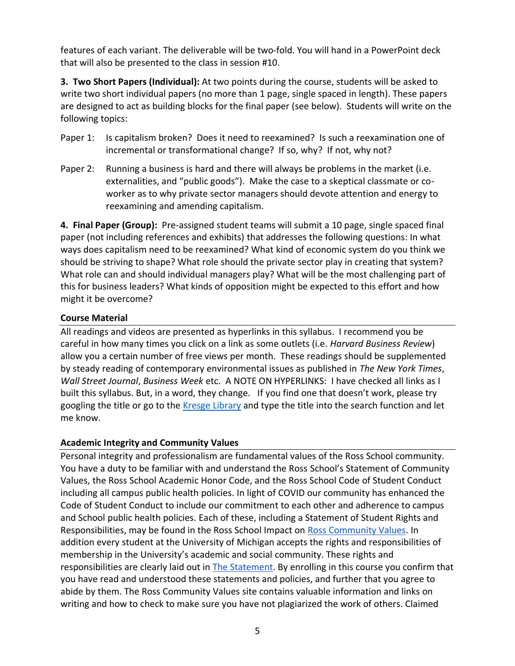features of each variant. The deliverable will be two-fold. You will hand in a PowerPoint deck that will also be presented to the class in session #10.

**3. Two Short Papers (Individual):** At two points during the course, students will be asked to write two short individual papers (no more than 1 page, single spaced in length). These papers are designed to act as building blocks for the final paper (see below). Students will write on the following topics:

- Paper 1: Is capitalism broken? Does it need to reexamined? Is such a reexamination one of incremental or transformational change? If so, why? If not, why not?
- Paper 2: Running a business is hard and there will always be problems in the market (i.e. externalities, and "public goods"). Make the case to a skeptical classmate or coworker as to why private sector managers should devote attention and energy to reexamining and amending capitalism.

**4. Final Paper (Group):** Pre-assigned student teams will submit a 10 page, single spaced final paper (not including references and exhibits) that addresses the following questions: In what ways does capitalism need to be reexamined? What kind of economic system do you think we should be striving to shape? What role should the private sector play in creating that system? What role can and should individual managers play? What will be the most challenging part of this for business leaders? What kinds of opposition might be expected to this effort and how might it be overcome?

#### **Course Material**

All readings and videos are presented as hyperlinks in this syllabus. I recommend you be careful in how many times you click on a link as some outlets (i.e. *Harvard Business Review*) allow you a certain number of free views per month. These readings should be supplemented by steady reading of contemporary environmental issues as published in *The New York Times*, *Wall Street Journal*, *Business Week* etc. A NOTE ON HYPERLINKS: I have checked all links as I built this syllabus. But, in a word, they change. If you find one that doesn't work, please try googling the title or go to the [Kresge Library](https://www.bus.umich.edu/Kresgelibrary/) and type the title into the search function and let me know.

#### **Academic Integrity and Community Values**

Personal integrity and professionalism are fundamental values of the Ross School community. You have a duty to be familiar with and understand the Ross School's Statement of Community Values, the Ross School Academic Honor Code, and the Ross School Code of Student Conduct including all campus public health policies. In light of COVID our community has enhanced the Code of Student Conduct to include our commitment to each other and adherence to campus and School public health policies. Each of these, including a Statement of Student Rights and Responsibilities, may be found in the Ross School Impact on [Ross Community Values.](https://www2.bus.umich.edu/MyiMpact/academics/ross-community-values) In addition every student at the University of Michigan accepts the rights and responsibilities of membership in the University's academic and social community. These rights and responsibilities are clearly laid out i[n The Statement.](https://oscr.umich.edu/statement#1) By enrolling in this course you confirm that you have read and understood these statements and policies, and further that you agree to abide by them. The Ross Community Values site contains valuable information and links on writing and how to check to make sure you have not plagiarized the work of others. Claimed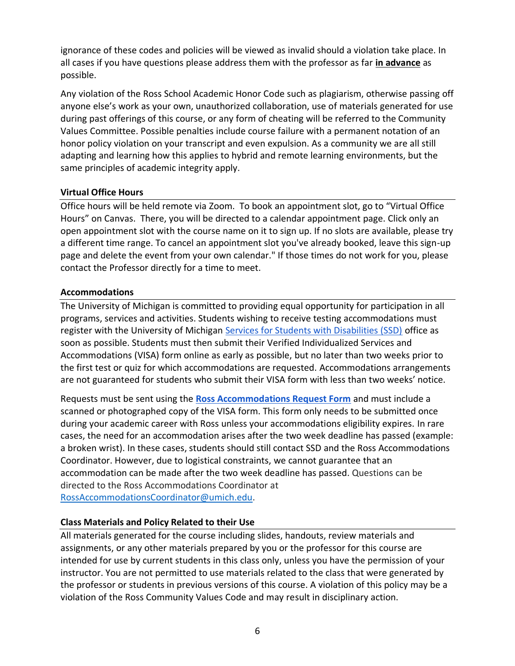ignorance of these codes and policies will be viewed as invalid should a violation take place. In all cases if you have questions please address them with the professor as far **in advance** as possible.

Any violation of the Ross School Academic Honor Code such as plagiarism, otherwise passing off anyone else's work as your own, unauthorized collaboration, use of materials generated for use during past offerings of this course, or any form of cheating will be referred to the Community Values Committee. Possible penalties include course failure with a permanent notation of an honor policy violation on your transcript and even expulsion. As a community we are all still adapting and learning how this applies to hybrid and remote learning environments, but the same principles of academic integrity apply.

#### **Virtual Office Hours**

Office hours will be held remote via Zoom. To book an appointment slot, go to "Virtual Office Hours" on Canvas. There, you will be directed to a calendar appointment page. Click only an open appointment slot with the course name on it to sign up. If no slots are available, please try a different time range. To cancel an appointment slot you've already booked, leave this sign-up page and delete the event from your own calendar." If those times do not work for you, please contact the Professor directly for a time to meet.

#### **Accommodations**

The University of Michigan is committed to providing equal opportunity for participation in all programs, services and activities. Students wishing to receive testing accommodations must register with the University of Michiga[n Services for Students with Disabilities \(SSD\)](http://ssd.umich.edu/) office as soon as possible. Students must then submit their Verified Individualized Services and Accommodations (VISA) form online as early as possible, but no later than two weeks prior to the first test or quiz for which accommodations are requested. Accommodations arrangements are not guaranteed for students who submit their VISA form with less than two weeks' notice.

Requests must be sent using the **[Ross Accommodations Request Form](https://docs.google.com/forms/d/e/1FAIpQLScqfP5B-bM0rjfwyvtOeKXAMPyTrLNHZwrPbv6oMfgE2yNYPQ/viewform?pli=1)** and must include a scanned or photographed copy of the VISA form. This form only needs to be submitted once during your academic career with Ross unless your accommodations eligibility expires. In rare cases, the need for an accommodation arises after the two week deadline has passed (example: a broken wrist). In these cases, students should still contact SSD and the Ross Accommodations Coordinator. However, due to logistical constraints, we cannot guarantee that an accommodation can be made after the two week deadline has passed. Questions can be directed to the Ross Accommodations Coordinator at [RossAccommodationsCoordinator@umich.edu.](mailto:RossAccommodationsCoordinator@umich.edu)

#### **Class Materials and Policy Related to their Use**

All materials generated for the course including slides, handouts, review materials and assignments, or any other materials prepared by you or the professor for this course are intended for use by current students in this class only, unless you have the permission of your instructor. You are not permitted to use materials related to the class that were generated by the professor or students in previous versions of this course. A violation of this policy may be a violation of the Ross Community Values Code and may result in disciplinary action.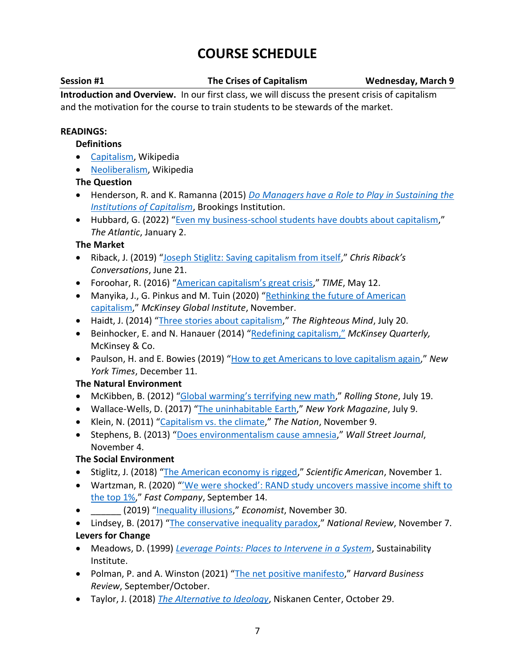# **COURSE SCHEDULE**

**Session #1 The Crises of Capitalism Wednesday, March 9**

**Introduction and Overview.** In our first class, we will discuss the present crisis of capitalism and the motivation for the course to train students to be stewards of the market.

#### **READINGS:**

#### **Definitions**

- [Capitalism,](https://en.wikipedia.org/wiki/Capitalism) Wikipedia
- [Neoliberalism,](https://en.wikipedia.org/wiki/Neoliberalism) Wikipedia

#### **The Question**

- Henderson, R. and K. Ramanna (2015) *[Do Managers have a Role to Play in Sustaining the](https://www.brookings.edu/research/do-managers-have-a-role-to-play-in-sustaining-the-institutions-of-capitalism/)  [Institutions of Capitalism](https://www.brookings.edu/research/do-managers-have-a-role-to-play-in-sustaining-the-institutions-of-capitalism/)*, Brookings Institution.
- Hubbard, G. (2022) "[Even my business-school students have doubts about capitalism](https://www.theatlantic.com/ideas/archive/2022/01/mba-students-against-capitalism/621117/?utm_content=edit-promo&utm_term=2022-01-02T13%3A00%3A56&utm_source=facebook&utm_medium=social&utm_campaign=the-atlantic&fbclid=IwAR2iluFzXjkRUOD3xWiz0ufSWQbCtkK9o3i86PinuBgJiA-oWdBrdAO4s4Q)," *The Atlantic*, January 2.

#### **The Market**

- Riback, J. (2019) "[Joseph Stiglitz: Saving capitalism from itself](https://chrisriback.com/joseph-stiglitz-saving-capitalism-from-itself/)," *Chris Riback's Conversations*, June 21.
- Foroohar, R. (2016) ["American capitalism's great crisis,](https://time.com/4327419/american-capitalisms-great-crisis/)" *TIME*, May 12.
- Manyika, J., G. Pinkus and M. Tuin (2020) "Rethinking the future of American [capitalism](https://www.mckinsey.com/featured-insights/long-term-capitalism/rethinking-the-future-of-american-capitalism)," *McKinsey Global Institute*, November.
- Haidt, J. (2014) "[Three stories about capitalism](https://righteousmind.com/three-stories-about-capitalism/)," *The Righteous Mind*, July 20.
- Beinhocker, E. and N. Hanauer (2014) ["Redefining capitalism,"](https://www.mckinsey.com/featured-insights/long-term-capitalism/redefining-capitalism) *McKinsey Quarterly,* McKinsey & Co.
- Paulson, H. and E. Bowies (2019) "[How to get Americans to love capitalism again](https://www.nytimes.com/2019/12/11/opinion/america-capitalism.html)," *New York Times*, December 11.

## **The Natural Environment**

- McKibben, B. (2012) ["Global warming's terrifying new math,](https://www.rollingstone.com/politics/politics-news/global-warmings-terrifying-new-math-188550/)" *Rolling Stone*, July 19.
- Wallace-Wells, D. (2017) "[The uninhabitable Earth](https://nymag.com/intelligencer/2017/07/climate-change-earth-too-hot-for-humans.html)," *New York Magazine*, July 9.
- Klein, N. (2011) "[Capitalism vs. the climate](https://www.thenation.com/article/archive/capitalism-vs-climate/)," *The Nation*, November 9.
- Stephens, B. (2013) "[Does environmentalism cause amnesia](https://www.wsj.com/articles/stephens-does-environmentalism-cause-amnesia-1383609414)," *Wall Street Journal*, November 4.

## **The Social Environment**

- Stiglitz, J. (2018) "[The American economy is rigged](https://www.scientificamerican.com/article/the-american-economy-is-rigged/)," *Scientific American*, November 1.
- Wartzman, R. (2020) ["'We were shocked': RAND study uncovers massive income shift to](https://www.fastcompany.com/90550015/we-were-shocked-rand-study-uncovers-massive-income-shift-to-the-top-1)  [the top 1%](https://www.fastcompany.com/90550015/we-were-shocked-rand-study-uncovers-massive-income-shift-to-the-top-1)," *Fast Company*, September 14.
- \_\_\_\_\_\_ (2019) "[Inequality illusions](https://www.economist.com/weeklyedition/2019-11-30)," *Economist*, November 30.
- Lindsey, B. (2017) "[The conservative inequality paradox](https://www.nationalreview.com/2017/11/economic-inequality-crony-capitalism-conservatives/)," *National Review*, November 7. **Levers for Change**
- Meadows, D. (1999) *[Leverage Points: Places to Intervene in a System](http://www.donellameadows.org/wp-content/userfiles/Leverage_Points.pdf)*, Sustainability Institute.
- Polman, P. and A. Winston (2021) "[The net positive manifesto](https://hbr.org/2021/09/the-net-positive-manifesto)," *Harvard Business Review*, September/October.
- Taylor, J. (2018) *[The Alternative to Ideology](https://niskanencenter.org/blog/the-alternative-to-ideology/)*, Niskanen Center, October 29.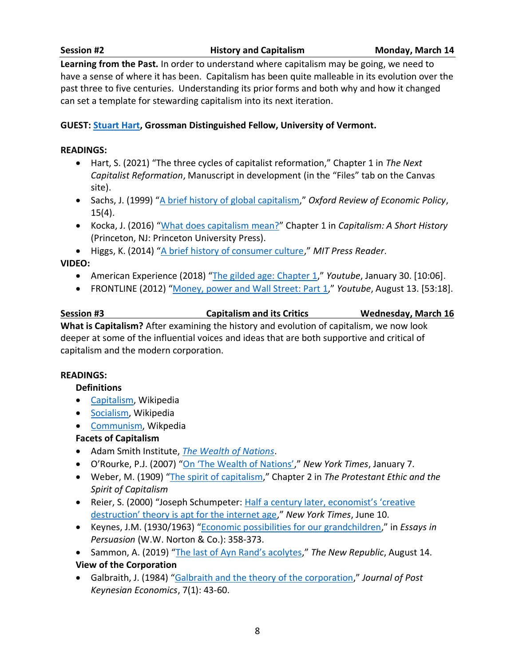#### **Session #2 History and Capitalism Monday, March 14**

**Learning from the Past.** In order to understand where capitalism may be going, we need to have a sense of where it has been. Capitalism has been quite malleable in its evolution over the past three to five centuries. Understanding its prior forms and both why and how it changed can set a template for stewarding capitalism into its next iteration.

#### **GUEST: [Stuart Hart,](https://www.uvm.edu/business/profiles/stuart_l_hart) Grossman Distinguished Fellow, University of Vermont.**

#### **READINGS:**

- Hart, S. (2021) "The three cycles of capitalist reformation," Chapter 1 in *The Next Capitalist Reformation*, Manuscript in development (in the "Files" tab on the Canvas site).
- Sachs, J. (1999) "[A brief history of global capitalism](https://www.earth.columbia.edu/sitefiles/file/about/director/pubs/Oxfordreview_winter99.pdf)," *Oxford Review of Economic Policy*,  $15(4)$ .
- Kocka, J. (2016) "[What does capitalism mean?](http://assets.press.princeton.edu/chapters/s10563.pdf)" Chapter 1 in *Capitalism: A Short History* (Princeton, NJ: Princeton University Press).
- Higgs, K. (2014) "[A brief history of consumer culture](https://thereader.mitpress.mit.edu/a-brief-history-of-consumer-culture/)," *MIT Press Reader*.

#### **VIDEO:**

- American Experience (2018) "[The gilded age: Chapter 1](https://www.youtube.com/watch?v=AeWE_FaIP6k)," *Youtube*, January 30. [10:06].
- FRONTLINE (2012) "[Money, power and Wall Street: Part 1](https://www.youtube.com/watch?v=W-Q9AOp2FW8)," *Youtube*, August 13. [53:18].

## **Session #3 Capitalism and its Critics Wednesday, March 16 What is Capitalism?** After examining the history and evolution of capitalism, we now look deeper at some of the influential voices and ideas that are both supportive and critical of

capitalism and the modern corporation.

#### **READINGS:**

#### **Definitions**

- [Capitalism,](https://en.wikipedia.org/wiki/Capitalism) Wikipedia
- [Socialism,](https://en.wikipedia.org/wiki/Socialism) Wikipedia
- [Communism,](https://en.wikipedia.org/wiki/Communism) Wikpedia

#### **Facets of Capitalism**

- Adam Smith Institute, *[The Wealth of Nations](https://www.adamsmith.org/the-wealth-of-nations)*.
- O'Rourke, P.J. (2007) ["On 'The Wealth of Nations',](https://www.nytimes.com/2007/01/07/books/chapters/0107-1st-orou.html)" *New York Times*, January 7.
- Weber, M. (1909) "[The spirit of capitalism](https://www.marxists.org/reference/archive/weber/protestant-ethic/ch02.htm)," Chapter 2 in *The Protestant Ethic and the Spirit of Capitalism*
- Reier, S. (2000) "Joseph Schumpeter: [Half a century later, economist's 'creative](https://www.nytimes.com/2000/06/10/your-money/IHT-half-a-century-later-economists-creative-destruction-theory-is.html#:~:text=the%20main%20story-,Half%20a%20Century%20Later%2C%20Economist)  [destruction' theory is apt for the internet age,](https://www.nytimes.com/2000/06/10/your-money/IHT-half-a-century-later-economists-creative-destruction-theory-is.html#:~:text=the%20main%20story-,Half%20a%20Century%20Later%2C%20Economist)" *New York Times*, June 10.
- Keynes, J.M. (1930/1963) "[Economic possibilities for our grandchildren](http://www.econ.yale.edu/smith/econ116a/keynes1.pdf)," in *Essays in Persuasion* (W.W. Norton & Co.): 358-373.
- Sammon, A. (2019) ["The last of Ayn Rand's acolytes,](https://newrepublic.com/article/154705/last-ayn-rand-acolytes)" *The New Republic*, August 14. **View of the Corporation**
- Galbraith, J. (1984) "[Galbraith and the theory of the corporation](https://www.tandfonline.com/doi/abs/10.1080/01603477.1984.11489482)," *Journal of Post Keynesian Economics*, 7(1): 43-60.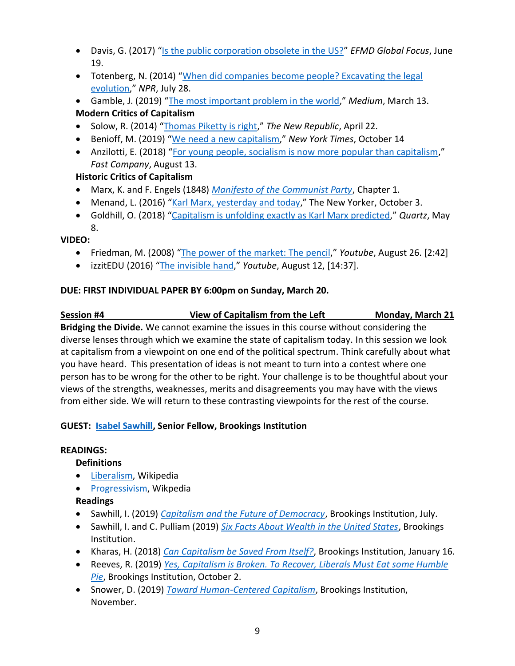- Davis, G. (2017) "[Is the public corporation obsolete in the US?](https://www.globalfocusmagazine.com/public-corporation-obsolete-us/)" *EFMD Global Focus*, June 19.
- Totenberg, N. (2014) "When did companies become people? Excavating the legal [evolution](https://www.npr.org/2014/07/28/335288388/when-did-companies-become-people-excavating-the-legal-evolution)," *NPR*, July 28.
- Gamble, J. (2019) "[The most important problem in the world](https://medium.com/@jgg4553542/the-most-important-problem-in-the-world-ad22ade0ccfe#:~:text=Climate%20change%3B%20millions%20of%20people,t%20protected%20from%20%E2%80%9Cthem%E2%80%9D%3B)," *Medium*, March 13. **Modern Critics of Capitalism**
- Solow, R. (2014) "[Thomas Piketty is right](https://newrepublic.com/article/117429/capital-twenty-first-century-thomas-piketty-reviewed)," *The New Republic*, April 22.
- Benioff, M. (2019) "[We need a new capitalism](https://www.nytimes.com/2019/10/14/opinion/benioff-salesforce-capitalism.html)," *New York Times*, October 14
- Anzilotti, E. (2018) "[For young people, socialism is now more popular than capitalism](https://www.fastcompany.com/90218064/for-young-people-socialism-is-now-more-popular-than-capitalism)," *Fast Company*, August 13.

## **Historic Critics of Capitalism**

- Marx, K. and F. Engels (1848) *[Manifesto of the Communist Party](https://www.marxists.org/archive/marx/works/1848/communist-manifesto/ch01.htm)*, Chapter 1.
- Menand, L. (2016) "[Karl Marx, yesterday and today](https://www.newyorker.com/magazine/2016/10/10/karl-marx-yesterday-and-today)," The New Yorker, October 3.
- Goldhill, O. (2018) "[Capitalism is unfolding exactly as Karl Marx predicted](https://qz.com/1269525/capitalism-is-unfolding-exactly-as-karl-marx-predicted/#:~:text=Karl%20Marx%20is%20still%20relevant.&text=Automation%2C%20remote%20work%2C%20AI%2C,changing%20the%20nature%20of%20work.&text=Gradually%2C%20in%20the%20century%20and,jobs%20previously%20done%20by%20humans.)," *Quartz*, May 8.

#### **VIDEO:**

- Friedman, M. (2008) "[The power of the market: The pencil,](https://www.youtube.com/watch?v=R5Gppi-O3a8)" *Youtube*, August 26. [2:42]
- izzitEDU (2016) "[The invisible hand,](https://www.youtube.com/watch?v=vR6nEasVGao)" *Youtube*, August 12, [14:37].

#### **DUE: FIRST INDIVIDUAL PAPER BY 6:00pm on Sunday, March 20.**

## **Session #4 View of Capitalism from the Left Monday, March 21**

**Bridging the Divide.** We cannot examine the issues in this course without considering the diverse lenses through which we examine the state of capitalism today. In this session we look at capitalism from a viewpoint on one end of the political spectrum. Think carefully about what you have heard. This presentation of ideas is not meant to turn into a contest where one person has to be wrong for the other to be right. Your challenge is to be thoughtful about your views of the strengths, weaknesses, merits and disagreements you may have with the views from either side. We will return to these contrasting viewpoints for the rest of the course.

## **GUEST: [Isabel Sawhill,](https://www.brookings.edu/experts/isabel-v-sawhill/) Senior Fellow, Brookings Institution**

#### **READINGS:**

## **Definitions**

- [Liberalism,](https://en.wikipedia.org/wiki/Liberalism) Wikipedia
- [Progressivism,](https://en.wikipedia.org/wiki/Progressivism) Wikpedia

## **Readings**

- Sawhill, I. (2019) *[Capitalism and the Future of Democracy](https://www.brookings.edu/research/capitalism-and-the-future-of-democracy/)*, Brookings Institution, July.
- Sawhill, I. and C. Pulliam (2019) *[Six Facts About Wealth in the United States](https://www.brookings.edu/blog/up-front/2019/06/25/six-facts-about-wealth-in-the-united-states/)*, Brookings Institution.
- Kharas, H. (2018) *[Can Capitalism be Saved From Itself?](https://www.brookings.edu/blog/future-development/2018/01/16/can-capitalism-be-saved-from-itself/)*, Brookings Institution, January 16.
- Reeves, R. (2019) *[Yes, Capitalism is Broken. To Recover, Liberals Must Eat some Humble](https://www.brookings.edu/opinions/yes-capitalism-is-broken-to-recover-liberals-must-eat-humble-pie/)  [Pie](https://www.brookings.edu/opinions/yes-capitalism-is-broken-to-recover-liberals-must-eat-humble-pie/)*, Brookings Institution, October 2.
- Snower, D. (2019) *[Toward Human-Centered Capitalism](https://www.brookings.edu/research/toward-human-centered-capitalism/)*, Brookings Institution, November.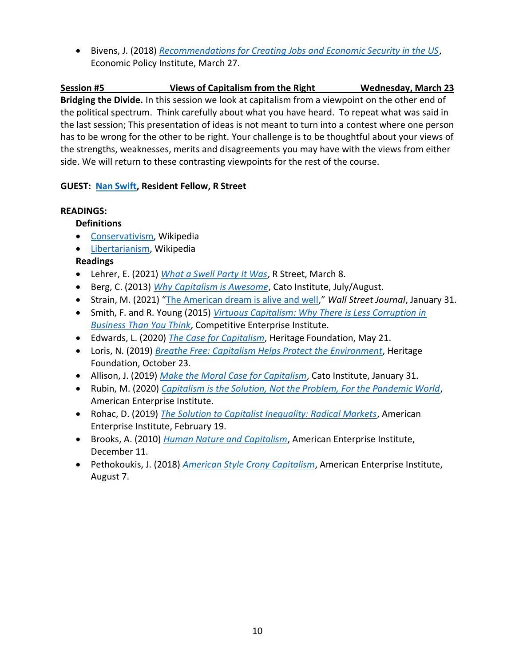• Bivens, J. (2018) *[Recommendations for Creating Jobs and Economic Security in the US](https://www.epi.org/publication/creating-jobs-and-economic-security/)*, Economic Policy Institute, March 27.

**Session #5 Views of Capitalism from the Right Wednesday, March 23 Bridging the Divide.** In this session we look at capitalism from a viewpoint on the other end of the political spectrum. Think carefully about what you have heard. To repeat what was said in the last session; This presentation of ideas is not meant to turn into a contest where one person has to be wrong for the other to be right. Your challenge is to be thoughtful about your views of the strengths, weaknesses, merits and disagreements you may have with the views from either side. We will return to these contrasting viewpoints for the rest of the course.

#### **GUEST: [Nan Swift,](https://www.rstreet.org/team/nan-swift/) Resident Fellow, R Street**

#### **READINGS:**

#### **Definitions**

- [Conservativism,](https://en.wikipedia.org/wiki/Conservatism) Wikipedia
- [Libertarianism,](https://en.wikipedia.org/wiki/Libertarianism) Wikipedia

## **Readings**

- Lehrer, E. (2021) *[What a Swell Party It Was](https://www.rstreet.org/2021/03/08/what-a-swell-party-it-was/)*, R Street, March 8.
- Berg, C. (2013) *[Why Capitalism is Awesome](https://www.cato.org/policy-report/julyaugust-2013/why-capitalism-awesome)*, Cato Institute, July/August.
- Strain, M. (2021) "[The American dream is alive and well](https://www.aei.org/op-eds/the-american-dream-is-alive-and-well/)," *Wall Street Journal*, January 31.
- Smith, F. and R. Young (2015) *[Virtuous Capitalism: Why There is Less Corruption in](https://cei.org/studies/virtuous-capitalism/)  [Business Than You Think](https://cei.org/studies/virtuous-capitalism/)*, Competitive Enterprise Institute.
- Edwards, L. (2020) *[The Case for Capitalism](https://www.heritage.org/conservatism/commentary/the-case-capitalism)*, Heritage Foundation, May 21.
- Loris, N. (2019) *[Breathe Free: Capitalism Helps Protect the Environment](https://www.heritage.org/environment/commentary/breathe-free-capitalism-helps-protect-the-environment)*, Heritage Foundation, October 23.
- Allison, J. (2019) *[Make the Moral Case for Capitalism](https://www.cato.org/commentary/make-moral-case-capitalism)*, Cato Institute, January 31.
- Rubin, M. (2020) *[Capitalism is the Solution, Not the Problem, For the Pandemic World](https://www.aei.org/op-eds/capitalism-is-the-solution-not-the-problem-for-the-pandemic-world/)*, American Enterprise Institute.
- Rohac, D. (2019) *[The Solution to Capitalist Inequality: Radical Markets](https://www.aei.org/articles/the-solution-to-capitalist-inequality-radical-markets/)*, American Enterprise Institute, February 19.
- Brooks, A. (2010) *[Human Nature and Capitalism](https://www.aei.org/articles/human-nature-and-capitalism/)*, American Enterprise Institute, December 11.
- Pethokoukis, J. (2018) *[American Style Crony Capitalism](https://www.aei.org/economics/american-style-crony-capitalism-what-happens-when-government-sorts-things-out/)*, American Enterprise Institute, August 7.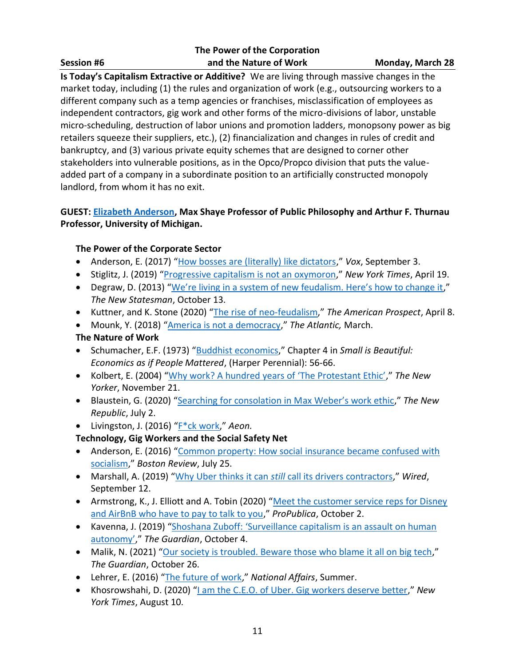#### **The Power of the Corporation Session #6 and the Nature of Work Monday, March 28**

**Is Today's Capitalism Extractive or Additive?** We are living through massive changes in the market today, including (1) the rules and organization of work (e.g., outsourcing workers to a different company such as a temp agencies or franchises, misclassification of employees as independent contractors, gig work and other forms of the micro-divisions of labor, unstable micro-scheduling, destruction of labor unions and promotion ladders, monopsony power as big retailers squeeze their suppliers, etc.), (2) financialization and changes in rules of credit and bankruptcy, and (3) various private equity schemes that are designed to corner other stakeholders into vulnerable positions, as in the Opco/Propco division that puts the valueadded part of a company in a subordinate position to an artificially constructed monopoly landlord, from whom it has no exit.

#### **GUEST: [Elizabeth Anderson,](https://lsa.umich.edu/philosophy/people/faculty/elizabeth-anderson.html) Max Shaye Professor of Public Philosophy and Arthur F. Thurnau Professor, University of Michigan.**

## **The Power of the Corporate Sector**

- Anderson, E. (2017) "[How bosses are \(literally\) like dictators](https://www.vox.com/the-big-idea/2017/7/17/15973478/bosses-dictators-workplace-rights-free-markets-unions)," *Vox*, September 3.
- Stiglitz, J. (2019) "[Progressive capitalism is not an oxymoron](https://www.nytimes.com/2019/04/19/opinion/sunday/progressive-capitalism.html)," *New York Times*, April 19.
- Degraw, D. (2013) ["We're living in a system of new feudalism. Here's how to change it,](https://www.newstatesman.com/uncategorized/2013/10/were-living-system-new-feudalism-heres-how-change-it)" *The New Statesman*, October 13.
- Kuttner, and K. Stone (2020) "[The rise of neo-feudalism](https://prospect.org/economy/rise-of-neo-feudalism/)," *The American Prospect*, April 8.
- Mounk, Y. (2018) "[America is not a democracy](https://www.theatlantic.com/magazine/archive/2018/03/america-is-not-a-democracy/550931/)," *The Atlantic,* March.

## **The Nature of Work**

- Schumacher, E.F. (1973) "[Buddhist economics](https://centerforneweconomics.org/publications/buddhist-economics/)," Chapter 4 in *Small is Beautiful: Economics as if People Mattered*, (Harper Perennial): 56-66.
- Kolbert, E. (2004) ["Why work? A hundred years of 'The Protestant Ethic',](https://www.newyorker.com/magazine/2004/11/29/why-work)" *The New Yorker*, November 21.
- Blaustein, G. (2020) ["Searching for consolation in Max Weber's work ethic,](https://newrepublic.com/article/158349/searching-consolation-max-webers-work-ethic)" *The New Republic*, July 2.
- Livingston, J. (2016) "[F\\*ck work](https://aeon.co/essays/what-if-jobs-are-not-the-solution-but-the-problem)," *Aeon.*

## **Technology, Gig Workers and the Social Safety Net**

- Anderson, E. (2016) "Common property: How social insurance became confused with [socialism](https://bostonreview.net/articles/elizabeth-anderson-social-insurance-thomas-paine-friedrich-hayek/)," *Boston Review*, July 25.
- Marshall, A. (2019) "Why Uber thinks it can *still* [call its drivers contractors](https://www.wired.com/story/why-uber-still-call-drivers-contractors/)," *Wired*, September 12.
- Armstrong, K., J. Elliott and A. Tobin (2020) "Meet the customer service reps for Disney [and AirBnB who have to pay to talk to you](https://www.propublica.org/article/meet-the-customer-service-reps-for-disney-and-airbnb-who-have-to-pay-to-talk-to-you)," *ProPublica*, October 2.
- Kavenna, J. (2019) ["Shoshana Zuboff: 'Surveillance capitalism is an assault on human](https://www.theguardian.com/books/2019/oct/04/shoshana-zuboff-surveillance-capitalism-assault-human-automomy-digital-privacy)  [autonomy',](https://www.theguardian.com/books/2019/oct/04/shoshana-zuboff-surveillance-capitalism-assault-human-automomy-digital-privacy)" *The Guardian*, October 4.
- Malik, N. (2021) "[Our society is troubled. Beware those who blame it all on big tech](https://www.theguardian.com/commentisfree/2021/oct/24/society-blame-big-tech-online-regulation)," *The Guardian*, October 26.
- Lehrer, E. (2016) "[The future of work](https://www.nationalaffairs.com/publications/detail/the-future-of-work)," *National Affairs*, Summer.
- Khosrowshahi, D. (2020) "[I am the C.E.O. of Uber. Gig workers deserve better](https://www.nytimes.com/2020/08/10/opinion/uber-ceo-dara-khosrowshahi-gig-workers-deserve-better.html)," *New York Times*, August 10.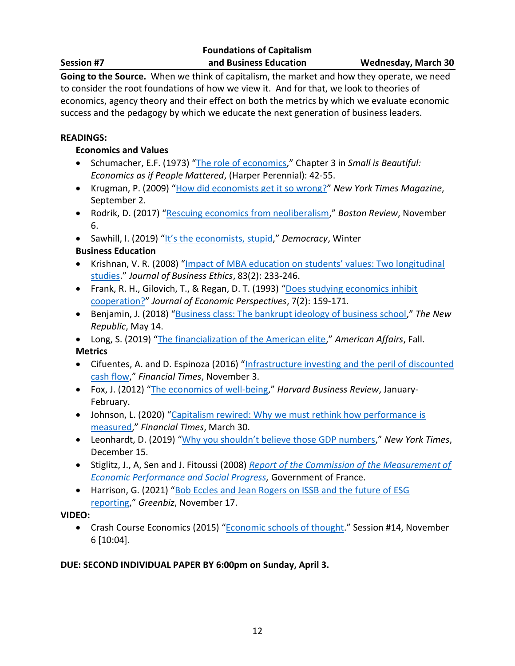|                   | <b>Foundations of Capitalism</b> |
|-------------------|----------------------------------|
| <b>Session #7</b> | and Business Education           |

**Going to the Source.** When we think of capitalism, the market and how they operate, we need to consider the root foundations of how we view it. And for that, we look to theories of economics, agency theory and their effect on both the metrics by which we evaluate economic success and the pedagogy by which we educate the next generation of business leaders.

#### **READINGS:**

#### **Economics and Values**

- Schumacher, E.F. (1973) "[The role of economics](http://www.daastol.com/books/Schumacher%20(1973)%20Small%20is%20Beautiful.pdf)," Chapter 3 in *Small is Beautiful: Economics as if People Mattered*, (Harper Perennial): 42-55.
- Krugman, P. (2009) "[How did economists get it so wrong?](https://www.nytimes.com/2009/09/06/magazine/06Economic-t.html?.?mc=aud_dev&ad-keywords=auddevgate&gclid=Cj0KCQjwt-6LBhDlARIsAIPRQcI6JMIgW5qprN_71AAPCS4oljeqof-ZauemSJrtNrnBm5NgmGvadvMaAvLOEALw_wcB&gclsrc=aw.ds)" *New York Times Magazine*, September 2.
- Rodrik, D. (2017) "[Rescuing economics from neoliberalism](https://bostonreview.net/class-inequality/dani-rodrik-rescuing-economics-neoliberalism)," *Boston Review*, November 6.
- Sawhill, I. (2019) ["It's the economists, stupid,](https://democracyjournal.org/magazine/55/its-the-economists-stupid/)" *Democracy*, Winter

#### **Business Education**

- Krishnan, V. R. (2008) "Impact [of MBA education on students' values: Two longitudinal](https://link.springer.com/article/10.1007/s10551-007-9614-y)  [studies](https://link.springer.com/article/10.1007/s10551-007-9614-y)." *Journal of Business Ethics*, 83(2): 233-246.
- Frank, R. H., Gilovich, T., & Regan, D. T. (1993) "[Does studying economics inhibit](https://www.aeaweb.org/articles?id=10.1257/jep.7.2.159)  [cooperation?](https://www.aeaweb.org/articles?id=10.1257/jep.7.2.159)" *Journal of Economic Perspectives*, 7(2): 159-171.
- Benjamin, J. (2018) "[Business class: The bankrupt ideology of business school](https://newrepublic.com/article/148368/ideology-business-school)," *The New Republic*, May 14.
- Long, S. (2019) "[The financialization of the American elite](https://americanaffairsjournal.org/2019/08/the-financialization-of-the-american-elite/)," *American Affairs*, Fall. **Metrics**
- Cifuentes, A. and D. Espinoza (2016) "Infrastructure investing and the peril of discounted [cash flow](https://www.ft.com/content/c9257c6c-a0db-11e6-891e-abe238dee8e2)," *Financial Times*, November 3.
- Fox, J. (2012) "[The economics of](https://hbr.org/2012/01/the-economics-of-well-being) well-being," *Harvard Business Review*, January-February.
- Johnson, L. (2020) "Capitalism rewired: Why we must rethink how performance is [measured](https://www.ft.com/content/957a6514-66c4-11ea-800d-da70cff6e4d3)," *Financial Times*, March 30.
- Leonhardt, D. (2019) ["Why you shouldn't believe those GDP numbers,](https://www.nytimes.com/2019/12/15/opinion/gdp-america.html)" *New York Times*, December 15.
- Stiglitz, J., A, Sen and J. Fitoussi (2008) *[Report of the Commission of the Measurement of](https://ec.europa.eu/eurostat/documents/8131721/8131772/Stiglitz-Sen-Fitoussi-Commission-report.pdf)  [Economic Performance and Social Progress,](https://ec.europa.eu/eurostat/documents/8131721/8131772/Stiglitz-Sen-Fitoussi-Commission-report.pdf)* Government of France.
- Harrison, G. (2021) "Bob Eccles and Jean Rogers on ISSB and the future of ESG [reporting](https://www.greenbiz.com/article/bob-eccles-and-jean-rogers-issb-and-future-esg-reporting)," *Greenbiz*, November 17.

#### **VIDEO:**

• Crash Course Economics (2015) "[Economic schools of thought](https://www.youtube.com/watch?v=tZvjh1dxz08)." Session #14, November 6 [10:04].

#### **DUE: SECOND INDIVIDUAL PAPER BY 6:00pm on Sunday, April 3.**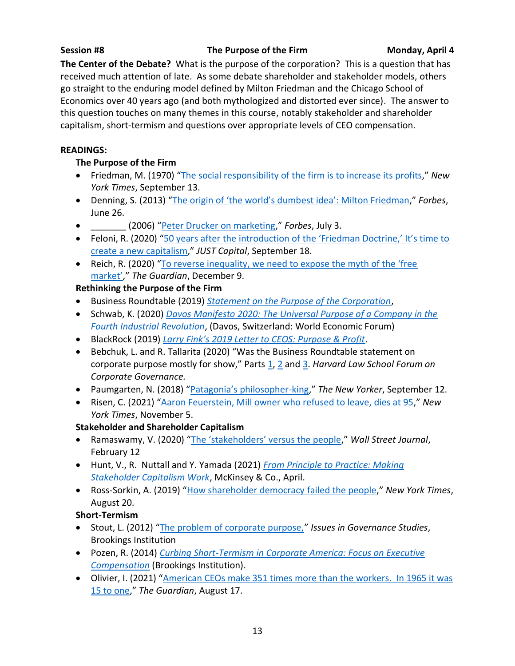**The Center of the Debate?** What is the purpose of the corporation? This is a question that has received much attention of late. As some debate shareholder and stakeholder models, others go straight to the enduring model defined by Milton Friedman and the Chicago School of Economics over 40 years ago (and both mythologized and distorted ever since). The answer to this question touches on many themes in this course, notably stakeholder and shareholder capitalism, short-termism and questions over appropriate levels of CEO compensation.

#### **READINGS:**

#### **The Purpose of the Firm**

- Friedman, M. (1970) "[The social responsibility of the firm is to increase its profits](https://www.nytimes.com/1970/09/13/archives/a-friedman-doctrine-the-social-responsibility-of-business-is-to.html)," *New York Times*, September 13.
- Denning, S. (2013) ["The origin of 'the world's dumbest idea': Milton Friedman,](http://www.forbes.com/sites/stevedenning/2013/06/26/the-origin-of-the-worlds-dumbest-idea-milton-friedman/#4a7bafec214c)" *Forbes*, June 26.
- \_\_\_\_\_\_\_ (2006) "[Peter Drucker on marketing](https://www.forbes.com/2006/06/30/jack-trout-on-marketing-cx_jt_0703drucker.html?sh=667964db555c)," *Forbes*, July 3.
- Feloni, R. (2020) "50 years after the introduction of the 'Friedman Doctrine,' It's time to [create a new capitalism](https://justcapital.com/news/50-years-after-friedman-doctrine-its-time-to-reform-capitalism/)," *JUST Capital*, September 18.
- Reich, R. (2020) ["To reverse inequality, we need to expose the myth of the 'free](https://www.theguardian.com/commentisfree/2020/dec/09/inequality-free-market-myth-billionaires)  [market',](https://www.theguardian.com/commentisfree/2020/dec/09/inequality-free-market-myth-billionaires)" *The Guardian*, December 9.

## **Rethinking the Purpose of the Firm**

- Business Roundtable (2019) *[Statement on the Purpose of the Corporation](file:///C:/Users/ajhoff/Desktop/Reexamining%20Capitalism%202022/Sylabus/•%09https:/opportunity.businessroundtable.org/ourcommitment)*,
- Schwab, K. (2020) *[Davos Manifesto 2020: The Universal Purpose of a Company in the](https://www.weforum.org/agenda/2019/12/davos-manifesto-2020-the-universal-purpose-of-a-company-in-the-fourth-industrial-revolution/)  [Fourth Industrial Revolution](https://www.weforum.org/agenda/2019/12/davos-manifesto-2020-the-universal-purpose-of-a-company-in-the-fourth-industrial-revolution/)*, (Davos, Switzerland: World Economic Forum)
- BlackRock (2019) *[Larry Fink's 2019 Letter to CEOS: Purpose & Profit](https://www.blackrock.com/corporate/investor-relations/larry-fink-ceo-letter)*.
- Bebchuk, L. and R. Tallarita (2020) "Was the Business Roundtable statement on corporate purpose mostly for show," Parts [1,](https://corpgov.law.harvard.edu/2020/08/12/was-the-business-roundtable-statement-on-corporate-purpose-mostly-for-show-1-evidence-from-lack-of-board-approval/) [2](https://corpgov.law.harvard.edu/2020/08/18/was-the-business-roundtable-statement-mostly-for-show-2-evidence-from-corporate-governance-guidelines/) and [3.](https://corpgov.law.harvard.edu/2020/08/19/was-the-business-roundtable-statement-mostly-for-show-3-disregard-of-legal-constraints/) *Harvard Law School Forum on Corporate Governance.*
- Paumgarten, N. (2018) ["Patagonia's philosopher](https://www.newyorker.com/magazine/2016/09/19/patagonias-philosopher-king)-king," *The New Yorker*, September 12.
- Risen, C. (2021) "[Aaron Feuerstein, Mill owner who refused to leave, dies at 95](https://www.nytimes.com/2021/11/05/business/aaron-feuerstein-dead.html)," *New York Times*, November 5.

## **Stakeholder and Shareholder Capitalism**

- Ramaswamy, V. (2020) ["The 'stakeholders' versus the people,](https://www.wsj.com/articles/the-stakeholders-vs-the-people-11581552372)" *Wall Street Journal*, February 12
- Hunt, V., R. Nuttall and Y. Yamada (2021) *[From Principle to Practice: Making](https://www.mckinsey.com/business-functions/strategy-and-corporate-finance/our-insights/from-principle-to-practice-making-stakeholder-capitalism-work)  [Stakeholder Capitalism Work](https://www.mckinsey.com/business-functions/strategy-and-corporate-finance/our-insights/from-principle-to-practice-making-stakeholder-capitalism-work)*, McKinsey & Co., April.
- Ross-Sorkin, A. (2019) "[How shareholder democracy failed the people](https://www.nytimes.com/2019/08/20/business/dealbook/business-roundtable-corporate-responsibility.html)," *New York Times*, August 20.

## **Short-Termism**

- Stout, L. (2012) "[The problem of corporate purpose,](https://www.brookings.edu/wp-content/uploads/2016/06/Stout_Corporate-Issues.pdf)" *Issues in Governance Studies*, Brookings Institution
- Pozen, R. (2014) *[Curbing Short-Termism in Corporate America: Focus on Executive](http://www.brookings.edu/~/media/research/files/papers/2014/05/06-pozen/brookings_shorttermismfinal_may2014.pdf)  [Compensation](http://www.brookings.edu/~/media/research/files/papers/2014/05/06-pozen/brookings_shorttermismfinal_may2014.pdf)* (Brookings Institution).
- Olivier, I. (2021) "American CEOs make 351 times more than the workers. In 1965 it was [15 to one](https://www.theguardian.com/commentisfree/2021/aug/17/american-chief-executive-pay-wages-workers)," *The Guardian*, August 17.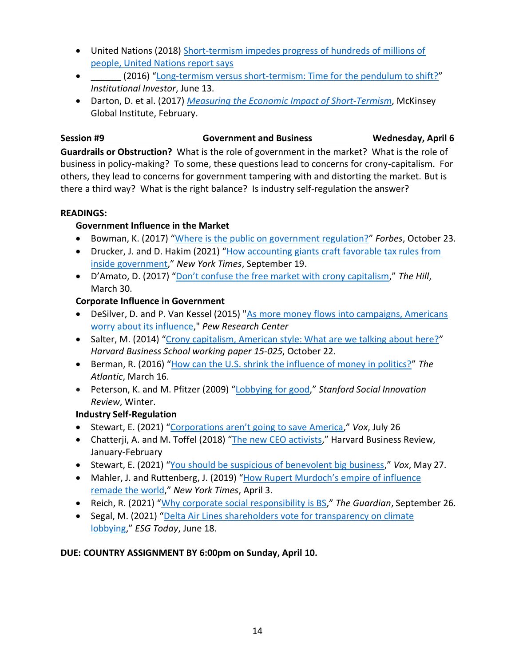- United Nations (2018) [Short-termism impedes progress of hundreds of millions of](https://www.un.org/development/desa/en/news/financing/iatf-report-2018.html)  [people, United Nations report says](https://www.un.org/development/desa/en/news/financing/iatf-report-2018.html)
- \_\_\_\_\_\_ (2016) "[Long-termism versus short-termism: Time for the pendulum to shift?](https://www.institutionalinvestor.com/article/b14z9mxp09dnn5/long-termism-versus-short-termism-time-for-the-pendulum-to-shift)" *Institutional Investor*, June 13.
- Darton, D. et al. (2017) *[Measuring the Economic Impact of Short-Termism](https://www.mckinsey.com/~/media/mckinsey/featured%20insights/long%20term%20capitalism/where%20companies%20with%20a%20long%20term%20view%20outperform%20their%20peers/mgi-measuring-the-economic-impact-of-short-termism.ashx)*, McKinsey Global Institute, February.

## **Session #9 Government and Business Wednesday, April 6**

**Guardrails or Obstruction?** What is the role of government in the market? What is the role of business in policy-making? To some, these questions lead to concerns for crony-capitalism. For others, they lead to concerns for government tampering with and distorting the market. But is there a third way? What is the right balance? Is industry self-regulation the answer?

#### **READINGS:**

## **Government Influence in the Market**

- Bowman, K. (2017) "[Where is the public on government regulation?](https://www.forbes.com/sites/bowmanmarsico/2017/10/23/where-is-the-public-on-government-regulation/#6a021f9665b9)" *Forbes*, October 23.
- Drucker, J. and D. Hakim (2021) "[How accounting giants craft favorable tax rules from](https://www.nytimes.com/2021/09/19/business/accounting-firms-tax-loopholes-government.html)  [inside government](https://www.nytimes.com/2021/09/19/business/accounting-firms-tax-loopholes-government.html)," *New York Times*, September 19.
- D'Amato, D. (2017) ["Don't confuse the free market with crony capitalism,](https://thehill.com/blogs/pundits-blog/economy-budget/326611-dont-confuse-the-free-market-with-crony-capitalism)" *The Hill*, March 30.

## **Corporate Influence in Government**

- DeSilver, D. and P. Van Kessel (2015) ["As more money flows into campaigns, Americans](https://www.pewresearch.org/fact-tank/2015/12/07/as-more-money-flows-into-campaigns-americans-worry-about-its-influence/)  [worry about its influence,](https://www.pewresearch.org/fact-tank/2015/12/07/as-more-money-flows-into-campaigns-americans-worry-about-its-influence/)" *Pew Research Center*
- Salter, M. (2014) "[Crony capitalism, American style: What are we talking about here?](https://www.hbs.edu/ris/Publication%20Files/15-025_c6fbbbf7-1519-4c94-8c02-4f971cf8a054.pdf)" *Harvard Business School working paper 15-025*, October 22.
- Berman, R. (2016) "[How can the U.S. shrink the influence of money in politics?](https://www.theatlantic.com/politics/archive/2016/03/fix-money-in-politics/473214/)" *The Atlantic*, March 16.
- Peterson, K. and M. Pfitzer (2009) "[Lobbying for good](https://ssir.org/articles/entry/lobbying_for_good)," *Stanford Social Innovation Review*, Winter.

## **Industry Self-Regulation**

- Stewart, E. (2021) ["Corporations aren't going to save America,](https://www.vox.com/the-goods/22585831/starbucks-bathroom-privatization-government)" *Vox*, July 26
- Chatterji, A. and M. Toffel (2018) "[The new CEO activists](https://hbr.org/2018/01/the-new-ceo-activists)," Harvard Business Review, January-February
- Stewart, E. (2021) "[You should be suspicious of benevolent big business](https://www.vox.com/recode/22453449/corporate-tax-jeff-bezos)," *Vox*, May 27.
- Mahler, J. and Ruttenberg, J. (2019) "How Rupert Murdoch's empire of influence [remade the world](https://www.nytimes.com/interactive/2019/04/03/magazine/rupert-murdoch-fox-news-trump.html)," *New York Times*, April 3.
- Reich, R. (2021) "[Why corporate social responsibility is BS](https://www.theguardian.com/commentisfree/2021/sep/26/why-corporate-social-responsibility-is-bs)," *The Guardian*, September 26.
- Segal, M. (2021) "[Delta Air Lines shareholders vote for transparency on climate](https://www.esgtoday.com/delta-air-lines-shareholders-vote-for-transparency-on-climate-lobbying/)  [lobbying](https://www.esgtoday.com/delta-air-lines-shareholders-vote-for-transparency-on-climate-lobbying/)," *ESG Today*, June 18.

## **DUE: COUNTRY ASSIGNMENT BY 6:00pm on Sunday, April 10.**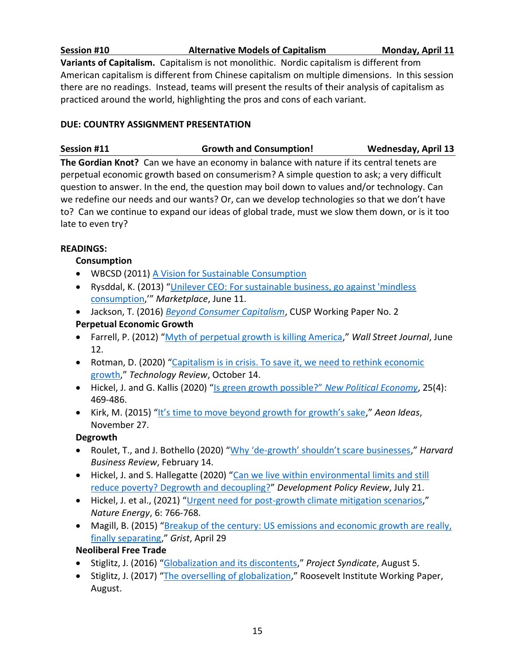**Session #10 Alternative Models of Capitalism Monday, April 11 Variants of Capitalism.** Capitalism is not monolithic. Nordic capitalism is different from American capitalism is different from Chinese capitalism on multiple dimensions. In this session there are no readings. Instead, teams will present the results of their analysis of capitalism as practiced around the world, highlighting the pros and cons of each variant.

#### **DUE: COUNTRY ASSIGNMENT PRESENTATION**

| Session #11 |  | <b>Growth and Consumption!</b> | <b>Wednesday, April 13</b> |
|-------------|--|--------------------------------|----------------------------|
|             |  |                                |                            |

**The Gordian Knot?** Can we have an economy in balance with nature if its central tenets are perpetual economic growth based on consumerism? A simple question to ask; a very difficult question to answer. In the end, the question may boil down to values and/or technology. Can we redefine our needs and our wants? Or, can we develop technologies so that we don't have to? Can we continue to expand our ideas of global trade, must we slow them down, or is it too late to even try?

#### **READINGS:**

## **Consumption**

- WBCSD (2011) [A Vision for Sustainable Consumption](https://www.wbcsd.org/Programs/People/Sustainable-Lifestyles/Resources/A-Vision-for-Sustainable-Consumption#:~:text=The%20report%2C%20A%20vision%20for,centric%20view%20on%20sustainable%20development.)
- Rysddal, K. (2013) "[Unilever CEO: For sustainable business, go against 'mindless](https://www.marketplace.org/2013/06/11/sustainability/consumed/unilever-ceo-sustainable-business-go-against-mindless-consumption)  [consumption](https://www.marketplace.org/2013/06/11/sustainability/consumed/unilever-ceo-sustainable-business-go-against-mindless-consumption),'" *Marketplace*, June 11.
- Jackson, T. (2016) *[Beyond Consumer Capitalism](https://cusp.ac.uk/themes/aetw/wp2/)*, CUSP Working Paper No. 2 **Perpetual Economic Growth**
- Farrell, P. (2012) "[Myth of perpetual growth is killing America](http://www.marketwatch.com/story/myth-of-perpetual-growth-is-killing-america-2012-06-12)," *Wall Street Journal*, June 12.
- Rotman, D. (2020) "Capitalism is in crisis. To save it, we need to rethink economic [growth](https://www.technologyreview.com/2020/10/14/1009437/capitalism-in-crisis-to-save-it-we-need-rethink-economic-growth/)," *Technology Review*, October 14.
- Hickel, J. and G. Kallis (2020) ["Is green growth possible?"](https://www.tandfonline.com/doi/abs/10.1080/13563467.2019.1598964?journalCode=cnpe20) *New Political Economy*, 25(4): 469-486.
- Kirk, M. (2015) ["It's time to move beyond growth for growth's sake,](https://aeon.co/ideas/it-s-time-to-move-beyond-growth-for-growth-s-sake)" *Aeon Ideas*, November 27.

## **Degrowth**

- Roulet, T., and J. Bothello (2020) "Why 'de-[growth' shouldn't scare businesses,](https://hbr.org/2020/02/why-de-growth-shouldnt-scare-businesses)" *Harvard Business Review*, February 14.
- Hickel, J. and S. Hallegatte (2020) "Can we live within environmental limits and still [reduce poverty? Degrowth and decoupling?](https://onlinelibrary.wiley.com/doi/10.1111/dpr.12584)" *Development Policy Review*, July 21.
- Hickel, J. et al., (2021) "[Urgent need for post-growth climate mitigation scenarios](https://www.nature.com/articles/s41560-021-00884-9)," *Nature Energy*, 6: 766-768.
- Magill, B. (2015) "Breakup of the century: US emissions and economic growth are really, [finally separating](http://grist.org/climate-energy/break-up-of-the-century-u-s-emissions-and-economic-growth-are-really-finally-separating/)," *Grist*, April 29

## **Neoliberal Free Trade**

- Stiglitz, J. (2016) "[Globalization and its discontents](https://www.project-syndicate.org/commentary/globalization-new-discontents-by-joseph-e--stiglitz-2016-08)," *Project Syndicate*, August 5.
- Stiglitz, J. (2017) "[The overselling of globalization](https://policydialogue.org/files/publications/papers/The-Overselling-of-Globalization_Stiglitz-1.pdf)," Roosevelt Institute Working Paper, August.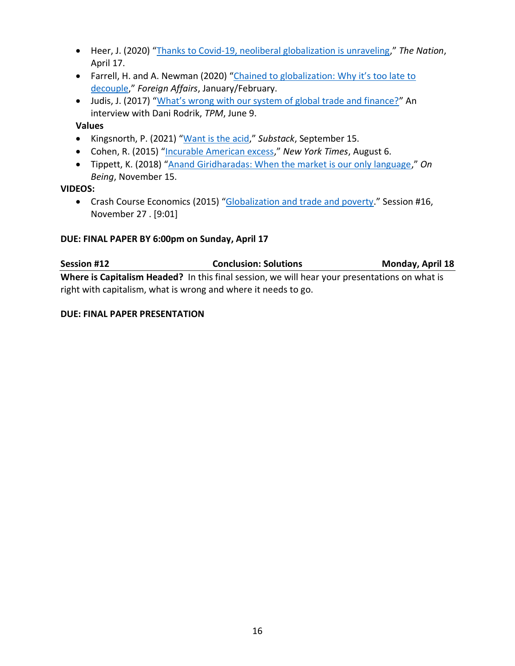- Heer, J. (2020) "[Thanks to Covid-19, neoliberal globalization is unraveling](https://www.thenation.com/article/world/globalization-unravelling-internationalism-coronavirus/)," *The Nation*, April 17.
- Farrell, H. and A. Newman (2020) "Chained to globalization: Why it's too late to [decouple](https://uschinadialogue.georgetown.edu/publications/chained-to-globalization-why-it-s-too-late-to-decouple)," *Foreign Affairs*, January/February.
- Judis, J. (2017) ["What's wrong with our system of global trade and finance?"](https://talkingpointsmemo.com/cafe/whats-wrong-system-global-trade-finance) An interview with Dani Rodrik, *TPM*, June 9.

#### **Values**

- Kingsnorth, P. (2021) "[Want is the acid](https://paulkingsnorth.substack.com/p/want-is-the-acid)," *Substack*, September 15.
- Cohen, R. (2015) "[Incurable American excess](http://www.nytimes.com/2015/08/07/opinion/roger-cohen-incurable-american-excess.html)," *New York Times*, August 6.
- Tippett, K. (2018) "[Anand Giridharadas: When the market is our only language](https://onbeing.org/programs/anand-giridharadas-when-the-market-is-our-only-language-nov2018/)," *On Being*, November 15.

#### **VIDEOS:**

• Crash Course Economics (2015) "[Globalization and trade and poverty](https://www.youtube.com/watch?v=9MpVjxxpExM)." Session #16, November 27 . [9:01]

#### **DUE: FINAL PAPER BY 6:00pm on Sunday, April 17**

| <b>Session #12</b>                                             | <b>Conclusion: Solutions</b>                                                                  | Monday, April 18 |  |  |  |  |  |
|----------------------------------------------------------------|-----------------------------------------------------------------------------------------------|------------------|--|--|--|--|--|
|                                                                | Where is Capitalism Headed? In this final session, we will hear your presentations on what is |                  |  |  |  |  |  |
| right with capitalism, what is wrong and where it needs to go. |                                                                                               |                  |  |  |  |  |  |

#### **DUE: FINAL PAPER PRESENTATION**